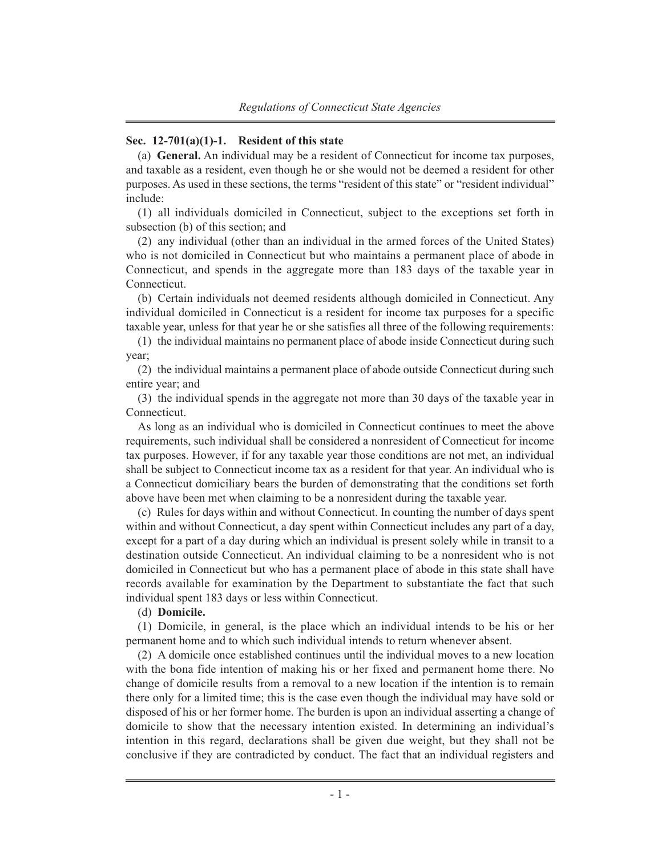## **Sec. 12-701(a)(1)-1. Resident of this state**

(a) **General.** An individual may be a resident of Connecticut for income tax purposes, and taxable as a resident, even though he or she would not be deemed a resident for other purposes. As used in these sections, the terms "resident of this state" or "resident individual" include:

(1) all individuals domiciled in Connecticut, subject to the exceptions set forth in subsection (b) of this section; and

(2) any individual (other than an individual in the armed forces of the United States) who is not domiciled in Connecticut but who maintains a permanent place of abode in Connecticut, and spends in the aggregate more than 183 days of the taxable year in Connecticut.

(b) Certain individuals not deemed residents although domiciled in Connecticut. Any individual domiciled in Connecticut is a resident for income tax purposes for a specific taxable year, unless for that year he or she satisfies all three of the following requirements:

(1) the individual maintains no permanent place of abode inside Connecticut during such year;

(2) the individual maintains a permanent place of abode outside Connecticut during such entire year; and

(3) the individual spends in the aggregate not more than 30 days of the taxable year in Connecticut.

As long as an individual who is domiciled in Connecticut continues to meet the above requirements, such individual shall be considered a nonresident of Connecticut for income tax purposes. However, if for any taxable year those conditions are not met, an individual shall be subject to Connecticut income tax as a resident for that year. An individual who is a Connecticut domiciliary bears the burden of demonstrating that the conditions set forth above have been met when claiming to be a nonresident during the taxable year.

(c) Rules for days within and without Connecticut. In counting the number of days spent within and without Connecticut, a day spent within Connecticut includes any part of a day, except for a part of a day during which an individual is present solely while in transit to a destination outside Connecticut. An individual claiming to be a nonresident who is not domiciled in Connecticut but who has a permanent place of abode in this state shall have records available for examination by the Department to substantiate the fact that such individual spent 183 days or less within Connecticut.

## (d) **Domicile.**

(1) Domicile, in general, is the place which an individual intends to be his or her permanent home and to which such individual intends to return whenever absent.

(2) A domicile once established continues until the individual moves to a new location with the bona fide intention of making his or her fixed and permanent home there. No change of domicile results from a removal to a new location if the intention is to remain there only for a limited time; this is the case even though the individual may have sold or disposed of his or her former home. The burden is upon an individual asserting a change of domicile to show that the necessary intention existed. In determining an individual's intention in this regard, declarations shall be given due weight, but they shall not be conclusive if they are contradicted by conduct. The fact that an individual registers and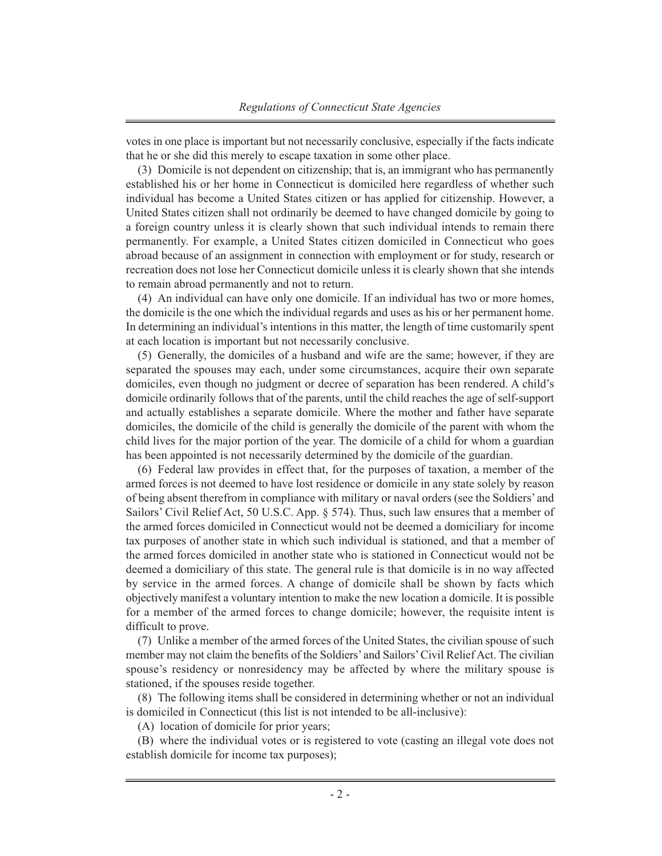votes in one place is important but not necessarily conclusive, especially if the facts indicate that he or she did this merely to escape taxation in some other place.

(3) Domicile is not dependent on citizenship; that is, an immigrant who has permanently established his or her home in Connecticut is domiciled here regardless of whether such individual has become a United States citizen or has applied for citizenship. However, a United States citizen shall not ordinarily be deemed to have changed domicile by going to a foreign country unless it is clearly shown that such individual intends to remain there permanently. For example, a United States citizen domiciled in Connecticut who goes abroad because of an assignment in connection with employment or for study, research or recreation does not lose her Connecticut domicile unless it is clearly shown that she intends to remain abroad permanently and not to return.

(4) An individual can have only one domicile. If an individual has two or more homes, the domicile is the one which the individual regards and uses as his or her permanent home. In determining an individual's intentions in this matter, the length of time customarily spent at each location is important but not necessarily conclusive.

(5) Generally, the domiciles of a husband and wife are the same; however, if they are separated the spouses may each, under some circumstances, acquire their own separate domiciles, even though no judgment or decree of separation has been rendered. A child's domicile ordinarily follows that of the parents, until the child reaches the age of self-support and actually establishes a separate domicile. Where the mother and father have separate domiciles, the domicile of the child is generally the domicile of the parent with whom the child lives for the major portion of the year. The domicile of a child for whom a guardian has been appointed is not necessarily determined by the domicile of the guardian.

(6) Federal law provides in effect that, for the purposes of taxation, a member of the armed forces is not deemed to have lost residence or domicile in any state solely by reason of being absent therefrom in compliance with military or naval orders (see the Soldiers' and Sailors' Civil Relief Act, 50 U.S.C. App. § 574). Thus, such law ensures that a member of the armed forces domiciled in Connecticut would not be deemed a domiciliary for income tax purposes of another state in which such individual is stationed, and that a member of the armed forces domiciled in another state who is stationed in Connecticut would not be deemed a domiciliary of this state. The general rule is that domicile is in no way affected by service in the armed forces. A change of domicile shall be shown by facts which objectively manifest a voluntary intention to make the new location a domicile. It is possible for a member of the armed forces to change domicile; however, the requisite intent is difficult to prove.

(7) Unlike a member of the armed forces of the United States, the civilian spouse of such member may not claim the benefits of the Soldiers' and Sailors'Civil Relief Act. The civilian spouse's residency or nonresidency may be affected by where the military spouse is stationed, if the spouses reside together.

(8) The following items shall be considered in determining whether or not an individual is domiciled in Connecticut (this list is not intended to be all-inclusive):

(A) location of domicile for prior years;

(B) where the individual votes or is registered to vote (casting an illegal vote does not establish domicile for income tax purposes);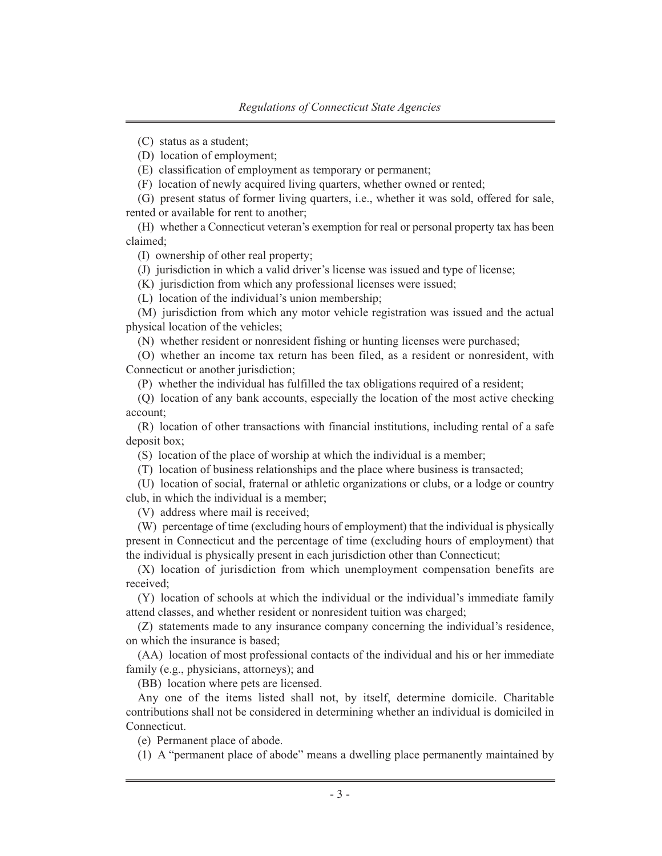(C) status as a student;

(D) location of employment;

(E) classification of employment as temporary or permanent;

(F) location of newly acquired living quarters, whether owned or rented;

(G) present status of former living quarters, i.e., whether it was sold, offered for sale, rented or available for rent to another;

(H) whether a Connecticut veteran's exemption for real or personal property tax has been claimed;

(I) ownership of other real property;

(J) jurisdiction in which a valid driver's license was issued and type of license;

(K) jurisdiction from which any professional licenses were issued;

(L) location of the individual's union membership;

(M) jurisdiction from which any motor vehicle registration was issued and the actual physical location of the vehicles;

(N) whether resident or nonresident fishing or hunting licenses were purchased;

(O) whether an income tax return has been filed, as a resident or nonresident, with Connecticut or another jurisdiction;

(P) whether the individual has fulfilled the tax obligations required of a resident;

(Q) location of any bank accounts, especially the location of the most active checking account;

(R) location of other transactions with financial institutions, including rental of a safe deposit box;

(S) location of the place of worship at which the individual is a member;

(T) location of business relationships and the place where business is transacted;

(U) location of social, fraternal or athletic organizations or clubs, or a lodge or country club, in which the individual is a member;

(V) address where mail is received;

(W) percentage of time (excluding hours of employment) that the individual is physically present in Connecticut and the percentage of time (excluding hours of employment) that the individual is physically present in each jurisdiction other than Connecticut;

(X) location of jurisdiction from which unemployment compensation benefits are received;

(Y) location of schools at which the individual or the individual's immediate family attend classes, and whether resident or nonresident tuition was charged;

(Z) statements made to any insurance company concerning the individual's residence, on which the insurance is based;

(AA) location of most professional contacts of the individual and his or her immediate family (e.g., physicians, attorneys); and

(BB) location where pets are licensed.

Any one of the items listed shall not, by itself, determine domicile. Charitable contributions shall not be considered in determining whether an individual is domiciled in Connecticut.

(e) Permanent place of abode.

(1) A "permanent place of abode" means a dwelling place permanently maintained by